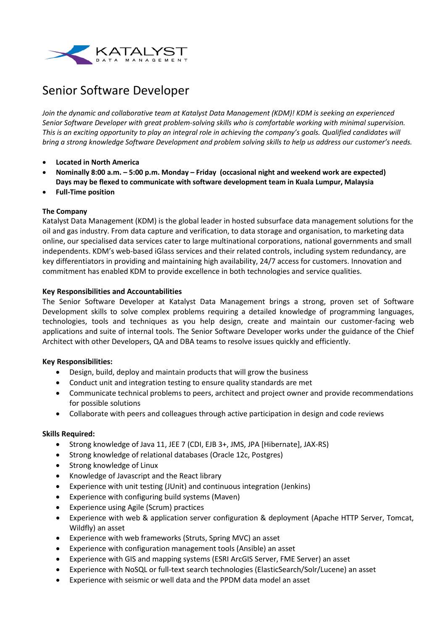

# Senior Software Developer

*Join the dynamic and collaborative team at Katalyst Data Management (KDM)! KDM is seeking an experienced Senior Software Developer with great problem-solving skills who is comfortable working with minimal supervision. This is an exciting opportunity to play an integral role in achieving the company's goals. Qualified candidates will bring a strong knowledge Software Development and problem solving skills to help us address our customer's needs.*

- **Located in North America**
- **Nominally 8:00 a.m. – 5:00 p.m. Monday – Friday (occasional night and weekend work are expected) Days may be flexed to communicate with software development team in Kuala Lumpur, Malaysia**
- **Full-Time position**

# **The Company**

Katalyst Data Management (KDM) is the global leader in hosted subsurface data management solutions for the oil and gas industry. From data capture and verification, to data storage and organisation, to marketing data online, our specialised data services cater to large multinational corporations, national governments and small independents. KDM's web-based iGlass services and their related controls, including system redundancy, are key differentiators in providing and maintaining high availability, 24/7 access for customers. Innovation and commitment has enabled KDM to provide excellence in both technologies and service qualities.

#### **Key Responsibilities and Accountabilities**

The Senior Software Developer at Katalyst Data Management brings a strong, proven set of Software Development skills to solve complex problems requiring a detailed knowledge of programming languages, technologies, tools and techniques as you help design, create and maintain our customer-facing web applications and suite of internal tools. The Senior Software Developer works under the guidance of the Chief Architect with other Developers, QA and DBA teams to resolve issues quickly and efficiently.

# **Key Responsibilities:**

- Design, build, deploy and maintain products that will grow the business
- Conduct unit and integration testing to ensure quality standards are met
- Communicate technical problems to peers, architect and project owner and provide recommendations for possible solutions
- Collaborate with peers and colleagues through active participation in design and code reviews

#### **Skills Required:**

- Strong knowledge of Java 11, JEE 7 (CDI, EJB 3+, JMS, JPA [Hibernate], JAX-RS)
- Strong knowledge of relational databases (Oracle 12c, Postgres)
- Strong knowledge of Linux
- Knowledge of Javascript and the React library
- Experience with unit testing (JUnit) and continuous integration (Jenkins)
- Experience with configuring build systems (Maven)
- Experience using Agile (Scrum) practices
- Experience with web & application server configuration & deployment (Apache HTTP Server, Tomcat, Wildfly) an asset
- Experience with web frameworks (Struts, Spring MVC) an asset
- Experience with configuration management tools (Ansible) an asset
- Experience with GIS and mapping systems (ESRI ArcGIS Server, FME Server) an asset
- Experience with NoSQL or full-text search technologies (ElasticSearch/Solr/Lucene) an asset
- Experience with seismic or well data and the PPDM data model an asset